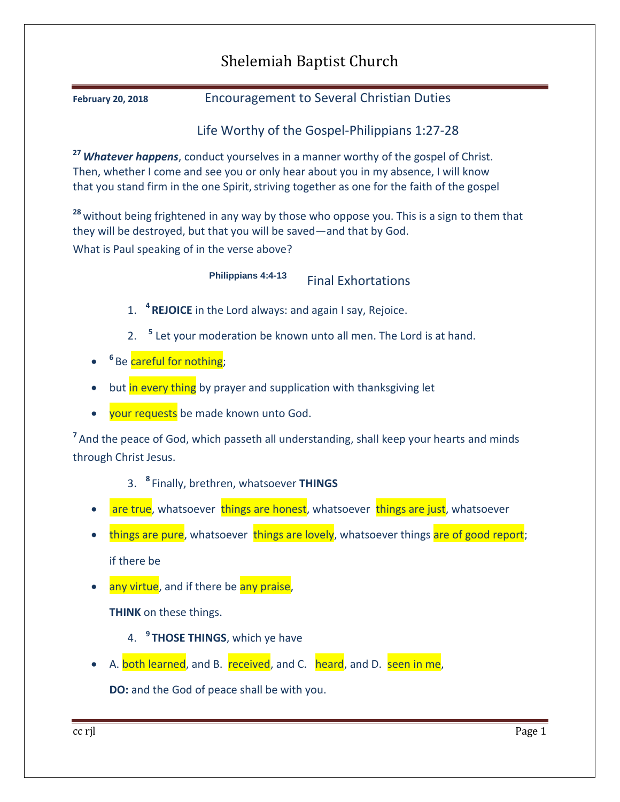## Shelemiah Baptist Church

**February 20, 2018** Encouragement to Several Christian Duties

Life Worthy of the Gospel-Philippians 1:27-28

**<sup>27</sup>***Whatever happens*, conduct yourselves in a manner worthy of the gospel of Christ. Then, whether I come and see you or only hear about you in my absence, I will know that you stand firm in the one Spirit, striving together as one for the faith of the gospel

**<sup>28</sup>** without being frightened in any way by those who oppose you. This is a sign to them that they will be destroyed, but that you will be saved—and that by God. What is Paul speaking of in the verse above?

**Philippians 4:4-13** Final Exhortations

- 1. **<sup>4</sup> REJOICE** in the Lord always: and again I say, Rejoice.
- 2. **<sup>5</sup>** Let your moderation be known unto all men. The Lord is at hand.
- $\bullet$ <sup>6</sup> Be <mark>careful for nothing</mark>;
- but in every thing by prayer and supplication with thanksgiving let
- your requests be made known unto God.

<sup>7</sup> And the peace of God, which passeth all understanding, shall keep your hearts and minds through Christ Jesus.

3. **<sup>8</sup>** Finally, brethren, whatsoever **THINGS**

- are true, whatsoever things are honest, whatsoever things are just, whatsoever
- things are pure, whatsoever things are lovely, whatsoever things are of good report; if there be
- any virtue, and if there be any praise,

**THINK** on these things.

- 4. **<sup>9</sup> THOSE THINGS**, which ye have
- A. both learned, and B. received, and C. heard, and D. seen in me,

**DO:** and the God of peace shall be with you.